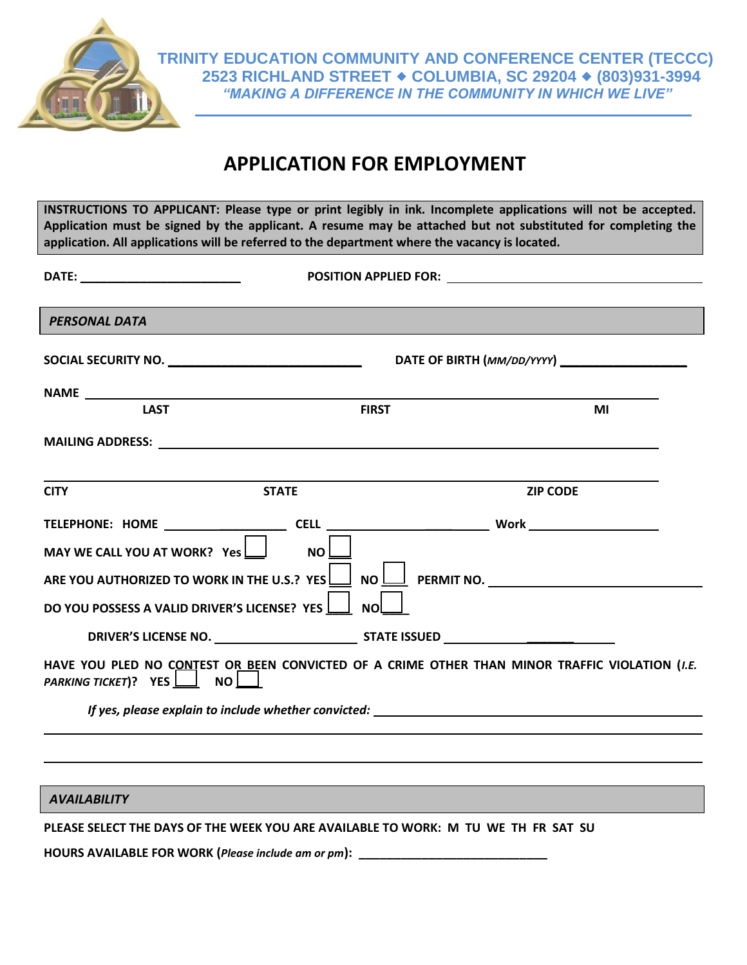

## **APPLICATION FOR EMPLOYMENT**

**INSTRUCTIONS TO APPLICANT: Please type or print legibly in ink. Incomplete applications will not be accepted. Application must be signed by the applicant. A resume may be attached but not substituted for completing the application. All applications will be referred to the department where the vacancy is located.** 

| <b>PERSONAL DATA</b>                                                                                                            |              |                                                                                                |
|---------------------------------------------------------------------------------------------------------------------------------|--------------|------------------------------------------------------------------------------------------------|
|                                                                                                                                 |              | DATE OF BIRTH (MM/DD/YYYY) __________________                                                  |
|                                                                                                                                 |              |                                                                                                |
| <b>LAST</b>                                                                                                                     | <b>FIRST</b> | MI                                                                                             |
|                                                                                                                                 |              |                                                                                                |
| <b>CITY</b>                                                                                                                     | <b>STATE</b> | <b>ZIP CODE</b>                                                                                |
|                                                                                                                                 |              |                                                                                                |
| MAY WE CALL YOU AT WORK? Yes                                                                                                    | <b>NO</b>    |                                                                                                |
| ARE YOU AUTHORIZED TO WORK IN THE U.S.? YES $\boxed{\underline{\hspace{1cm}}}$ NO $\boxed{\underline{\hspace{1cm}}}$ PERMIT NO. |              |                                                                                                |
| DO YOU POSSESS A VALID DRIVER'S LICENSE? YES                                                                                    | NO.          |                                                                                                |
|                                                                                                                                 |              |                                                                                                |
| PARKING TICKET)? YES NO                                                                                                         |              | HAVE YOU PLED NO CONTEST OR BEEN CONVICTED OF A CRIME OTHER THAN MINOR TRAFFIC VIOLATION (I.E. |
|                                                                                                                                 |              |                                                                                                |
|                                                                                                                                 |              |                                                                                                |
|                                                                                                                                 |              |                                                                                                |
| <b>AVAILABILITY</b>                                                                                                             |              |                                                                                                |

**PLEASE SELECT THE DAYS OF THE WEEK YOU ARE AVAILABLE TO WORK: M TU WE TH FR SAT SU** 

**HOURS AVAILABLE FOR WORK (***Please include am or pm***): \_\_\_\_\_\_\_\_\_\_\_\_\_\_\_\_\_\_\_\_\_\_\_\_\_\_\_**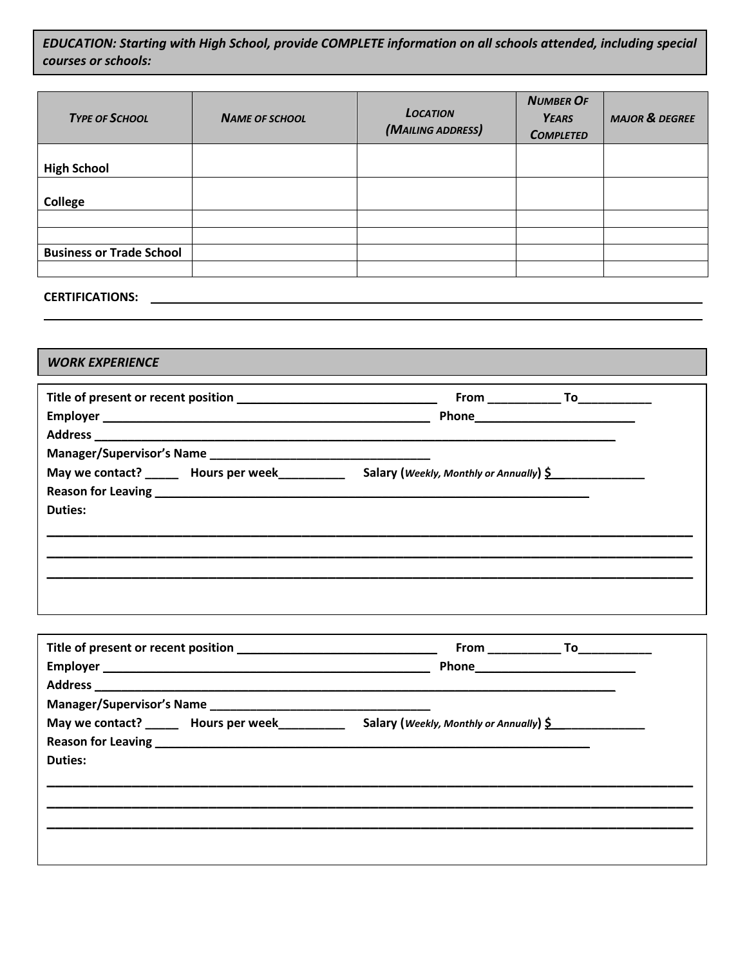*EDUCATION: Starting with High School, provide COMPLETE information on all schools attended, including special courses or schools:*

| <b>TYPE OF SCHOOL</b>           | <b>NAME OF SCHOOL</b> | <b>LOCATION</b><br>(MAILING ADDRESS) | <b>NUMBER OF</b><br><b>YEARS</b><br><b>COMPLETED</b> | <b>MAJOR &amp; DEGREE</b> |
|---------------------------------|-----------------------|--------------------------------------|------------------------------------------------------|---------------------------|
|                                 |                       |                                      |                                                      |                           |
| <b>High School</b>              |                       |                                      |                                                      |                           |
|                                 |                       |                                      |                                                      |                           |
| <b>College</b>                  |                       |                                      |                                                      |                           |
|                                 |                       |                                      |                                                      |                           |
|                                 |                       |                                      |                                                      |                           |
| <b>Business or Trade School</b> |                       |                                      |                                                      |                           |
|                                 |                       |                                      |                                                      |                           |

## **CERTIFICATIONS:**

## *WORK EXPERIENCE*

| May we contact? _______ Hours per week__________ |                |                                                               |
|--------------------------------------------------|----------------|---------------------------------------------------------------|
|                                                  |                |                                                               |
|                                                  |                |                                                               |
|                                                  |                |                                                               |
|                                                  |                | Salary (Weekly, Monthly or Annually) $\underline{\mathsf{S}}$ |
|                                                  |                |                                                               |
|                                                  | <b>Duties:</b> |                                                               |
|                                                  |                |                                                               |
|                                                  |                |                                                               |
|                                                  |                |                                                               |

|                | May we contact? _______ Hours per week_______________ Salary (Weekly, Monthly or Annually) \$ |
|----------------|-----------------------------------------------------------------------------------------------|
|                |                                                                                               |
| <b>Duties:</b> |                                                                                               |
|                |                                                                                               |
|                |                                                                                               |
|                |                                                                                               |
|                |                                                                                               |
|                |                                                                                               |